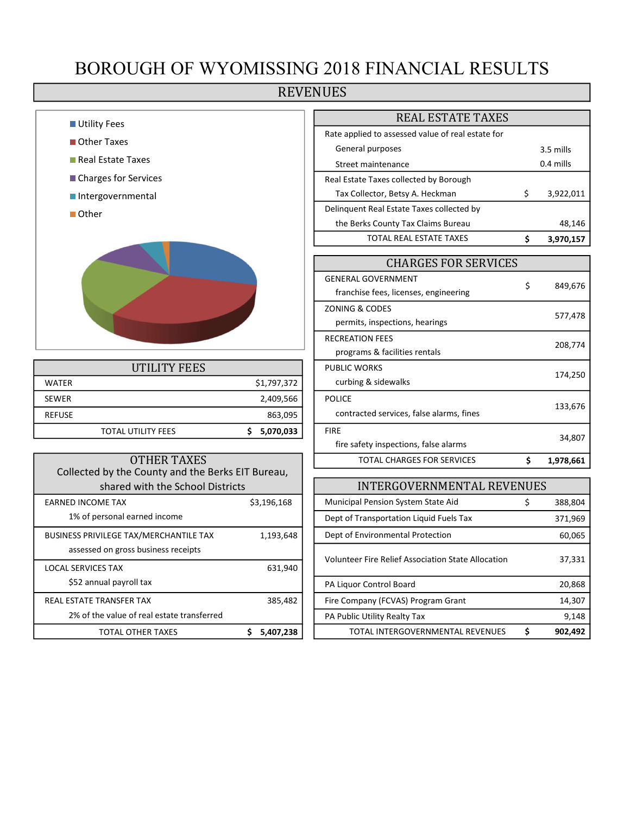## BOROUGH OF WYOMISSING 2018 FINANCIAL RESULTS

### REVENUES

| <b>Utility Fees</b> |
|---------------------|
|---------------------|

- Other Taxes
- Real Estate Taxes
- Charges for Services
- Intergovernmental
- Other



|               | UTILITY FEES              |             | <b>PUBLIC WORKS</b>                      |
|---------------|---------------------------|-------------|------------------------------------------|
| <b>WATER</b>  |                           | \$1,797,372 | curbing & sidewalks                      |
| <b>SEWER</b>  |                           | 2,409,566   | <b>POLICE</b>                            |
| <b>REFUSE</b> |                           | 863,095     | contracted services, false alarms, fines |
|               | <b>TOTAL UTILITY FEES</b> | 5,070,033   | <b>FIRE</b>                              |

| OTHER TAXES                                       |             | <b>TOTAL CHARGES FOR SERVICES</b>          |
|---------------------------------------------------|-------------|--------------------------------------------|
| Collected by the County and the Berks EIT Bureau, |             |                                            |
| shared with the School Districts                  |             | INTERGOVERNMENTA                           |
| <b>EARNED INCOME TAX</b>                          | \$3,196,168 | <b>Municipal Pension System State Aid</b>  |
| 1% of personal earned income                      |             | Dept of Transportation Liquid Fuels Tax    |
| <b>BUSINESS PRIVILEGE TAX/MERCHANTILE TAX</b>     | 1,193,648   | Dept of Environmental Protection           |
| assessed on gross business receipts               |             | Volunteer Fire Relief Association State Al |
| <b>LOCAL SERVICES TAX</b>                         | 631,940     |                                            |
| \$52 annual payroll tax                           |             | PA Liquor Control Board                    |
| REAL ESTATE TRANSFER TAX                          | 385,482     | Fire Company (FCVAS) Program Grant         |
| 2% of the value of real estate transferred        |             | PA Public Utility Realty Tax               |
| TOTAL OTHER TAXES                                 | 5,407,238   | TOTAL INTERGOVERNMENTAL RE'                |

| <b>REAL ESTATE TAXES</b>                          |             |           |  |  |  |
|---------------------------------------------------|-------------|-----------|--|--|--|
| Rate applied to assessed value of real estate for |             |           |  |  |  |
| General purposes                                  |             | 3.5 mills |  |  |  |
| Street maintenance                                | $0.4$ mills |           |  |  |  |
| Real Estate Taxes collected by Borough            |             |           |  |  |  |
| Tax Collector, Betsy A. Heckman                   | Ś           | 3,922,011 |  |  |  |
| Delinquent Real Estate Taxes collected by         |             |           |  |  |  |
| the Berks County Tax Claims Bureau                |             | 48,146    |  |  |  |
| <b>TOTAL REAL ESTATE TAXES</b>                    |             | 3.970.157 |  |  |  |

| <b>CHARGES FOR SERVICES</b>              |    |           |  |  |  |
|------------------------------------------|----|-----------|--|--|--|
| <b>GENERAL GOVERNMENT</b>                |    | 849,676   |  |  |  |
| franchise fees, licenses, engineering    | \$ |           |  |  |  |
| ZONING & CODES                           |    |           |  |  |  |
| permits, inspections, hearings           |    | 577,478   |  |  |  |
| <b>RECREATION FEES</b>                   |    | 208,774   |  |  |  |
| programs & facilities rentals            |    |           |  |  |  |
| <b>PUBLIC WORKS</b>                      |    | 174,250   |  |  |  |
| curbing & sidewalks                      |    |           |  |  |  |
| <b>POLICE</b>                            |    |           |  |  |  |
| contracted services, false alarms, fines |    | 133,676   |  |  |  |
| <b>FIRE</b>                              |    |           |  |  |  |
| fire safety inspections, false alarms    |    | 34,807    |  |  |  |
| TOTAL CHARGES FOR SERVICES               | Ś  | 1,978,661 |  |  |  |

| shared with the School Districts           |             | <b>INTERGOVERNMENTAL REVENUES</b>                  |         |
|--------------------------------------------|-------------|----------------------------------------------------|---------|
| EARNED INCOME TAX                          | \$3,196,168 | Municipal Pension System State Aid                 | 388,804 |
| 1% of personal earned income               |             | Dept of Transportation Liquid Fuels Tax            | 371,969 |
| BUSINESS PRIVILEGE TAX/MERCHANTILE TAX     | 1,193,648   | Dept of Environmental Protection                   | 60,065  |
| assessed on gross business receipts        |             | Volunteer Fire Relief Association State Allocation | 37,331  |
| LOCAL SERVICES TAX                         | 631,940     |                                                    |         |
| \$52 annual payroll tax                    |             | PA Liquor Control Board                            | 20,868  |
| REAL ESTATE TRANSFER TAX                   | 385,482     | Fire Company (FCVAS) Program Grant                 | 14,307  |
| 2% of the value of real estate transferred |             | PA Public Utility Realty Tax                       | 9,148   |
| TOTAL OTHER TAXES                          | 5,407,238   | TOTAL INTERGOVERNMENTAL REVENUES                   | 902,492 |